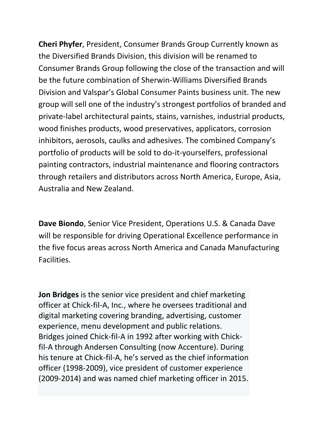**Cheri Phyfer**, President, Consumer Brands Group Currently known as the Diversified Brands Division, this division will be renamed to Consumer Brands Group following the close of the transaction and will be the future combination of Sherwin-Williams Diversified Brands Division and Valspar's Global Consumer Paints business unit. The new group will sell one of the industry's strongest portfolios of branded and private-label architectural paints, stains, varnishes, industrial products, wood finishes products, wood preservatives, applicators, corrosion inhibitors, aerosols, caulks and adhesives. The combined Company's portfolio of products will be sold to do-it-yourselfers, professional painting contractors, industrial maintenance and flooring contractors through retailers and distributors across North America, Europe, Asia, Australia and New Zealand.

**Dave Biondo**, Senior Vice President, Operations U.S. & Canada Dave will be responsible for driving Operational Excellence performance in the five focus areas across North America and Canada Manufacturing Facilities.

**Jon Bridges** is the senior vice president and chief marketing officer at Chick-fil-A, Inc., where he oversees traditional and digital marketing covering branding, advertising, customer experience, menu development and public relations. Bridges joined Chick-fil-A in 1992 after working with Chickfil-A through Andersen Consulting (now Accenture). During his tenure at Chick-fil-A, he's served as the chief information officer (1998-2009), vice president of customer experience (2009-2014) and was named chief marketing officer in 2015.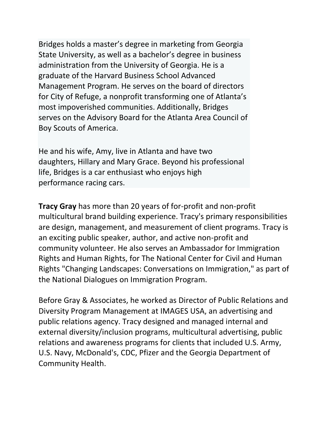Bridges holds a master's degree in marketing from Georgia State University, as well as a bachelor's degree in business administration from the University of Georgia. He is a graduate of the Harvard Business School Advanced Management Program. He serves on the board of directors for City of Refuge, a nonprofit transforming one of Atlanta's most impoverished communities. Additionally, Bridges serves on the Advisory Board for the Atlanta Area Council of Boy Scouts of America.

He and his wife, Amy, live in Atlanta and have two daughters, Hillary and Mary Grace. Beyond his professional life, Bridges is a car enthusiast who enjoys high performance racing cars.

**Tracy Gray** has more than 20 years of for-profit and non-profit multicultural brand building experience. Tracy's primary responsibilities are design, management, and measurement of client programs. Tracy is an exciting public speaker, author, and active non-profit and community volunteer. He also serves an Ambassador for Immigration Rights and Human Rights, for The National Center for Civil and Human Rights "Changing Landscapes: Conversations on Immigration," as part of the National Dialogues on Immigration Program.

Before Gray & Associates, he worked as Director of Public Relations and Diversity Program Management at IMAGES USA, an advertising and public relations agency. Tracy designed and managed internal and external diversity/inclusion programs, multicultural advertising, public relations and awareness programs for clients that included U.S. Army, U.S. Navy, McDonald's, CDC, Pfizer and the Georgia Department of Community Health.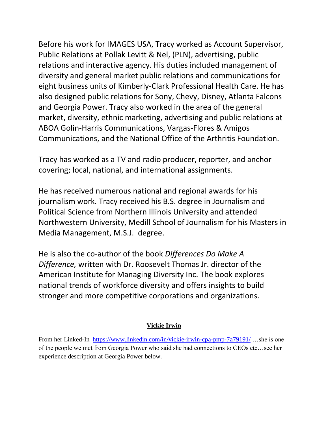Before his work for IMAGES USA, Tracy worked as Account Supervisor, Public Relations at Pollak Levitt & Nel, (PLN), advertising, public relations and interactive agency. His duties included management of diversity and general market public relations and communications for eight business units of Kimberly-Clark Professional Health Care. He has also designed public relations for Sony, Chevy, Disney, Atlanta Falcons and Georgia Power. Tracy also worked in the area of the general market, diversity, ethnic marketing, advertising and public relations at ABOA Golin-Harris Communications, Vargas-Flores & Amigos Communications, and the National Office of the Arthritis Foundation.

Tracy has worked as a TV and radio producer, reporter, and anchor covering; local, national, and international assignments.

He has received numerous national and regional awards for his journalism work. Tracy received his B.S. degree in Journalism and Political Science from Northern Illinois University and attended Northwestern University, Medill School of Journalism for his Masters in Media Management, M.S.J. degree.

He is also the co-author of the book *Differences Do Make A Difference,* written with Dr. Roosevelt Thomas Jr. director of the American Institute for Managing Diversity Inc. The book explores national trends of workforce diversity and offers insights to build stronger and more competitive corporations and organizations.

## **Vickie Irwin**

From her Linked-In <https://www.linkedin.com/in/vickie-irwin-cpa-pmp-7a79191/> ...she is one of the people we met from Georgia Power who said she had connections to CEOs etc…see her experience description at Georgia Power below.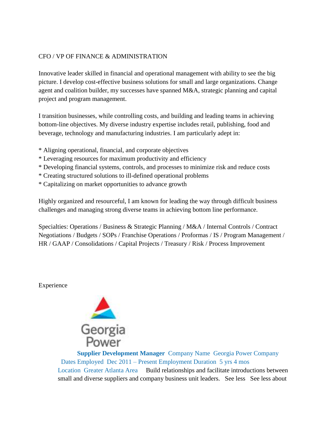## CFO / VP OF FINANCE & ADMINISTRATION

Innovative leader skilled in financial and operational management with ability to see the big picture. I develop cost-effective business solutions for small and large organizations. Change agent and coalition builder, my successes have spanned M&A, strategic planning and capital project and program management.

I transition businesses, while controlling costs, and building and leading teams in achieving bottom-line objectives. My diverse industry expertise includes retail, publishing, food and beverage, technology and manufacturing industries. I am particularly adept in:

- \* Aligning operational, financial, and corporate objectives
- \* Leveraging resources for maximum productivity and efficiency
- \* Developing financial systems, controls, and processes to minimize risk and reduce costs
- \* Creating structured solutions to ill-defined operational problems
- \* Capitalizing on market opportunities to advance growth

Highly organized and resourceful, I am known for leading the way through difficult business challenges and managing strong diverse teams in achieving bottom line performance.

Specialties: Operations / Business & Strategic Planning / M&A / Internal Controls / Contract Negotiations / Budgets / SOPs / Franchise Operations / Proformas / IS / Program Management / HR / GAAP / Consolidations / Capital Projects / Treasury / Risk / Process Improvement

Experience



**[Supplier Development Manager](https://www.linkedin.com/company-beta/5094/)** Company Name Georgia Power Company Dates Employed Dec 2011 – [Present Employment Duration](https://www.linkedin.com/company-beta/5094/) 5 yrs 4 mos Location [Greater Atlanta Area](https://www.linkedin.com/company-beta/5094/) Build relationships and facilitate introductions between small and diverse suppliers and company business unit leaders. See less See less about